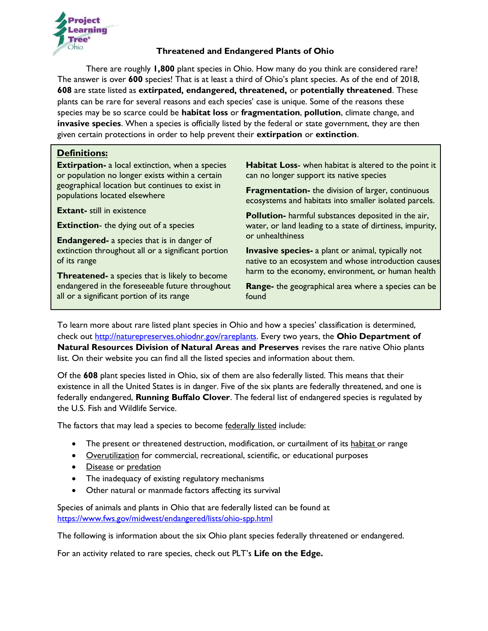

#### **Threatened and Endangered Plants of Ohio**

There are roughly **1,800** plant species in Ohio. How many do you think are considered rare? The answer is over **600** species! That is at least a third of Ohio's plant species. As of the end of 2018, **608** are state listed as **extirpated, endangered, threatened,** or **potentially threatened**. These plants can be rare for several reasons and each species' case is unique. Some of the reasons these species may be so scarce could be **habitat loss** or **fragmentation**, **pollution**, climate change, and **invasive species**. When a species is officially listed by the federal or state government, they are then given certain protections in order to help prevent their **extirpation** or **extinction**.

#### **Definitions:**

**Extirpation-** a local extinction, when a species or population no longer exists within a certain geographical location but continues to exist in populations located elsewhere

**Extant-** still in existence

**Extinction**- the dying out of a species

**Endangered-** a species that is in danger of extinction throughout all or a significant portion of its range

**Threatened-** a species that is likely to become endangered in the foreseeable future throughout all or a significant portion of its range

**Habitat Loss**- when habitat is altered to the point it can no longer support its native species

**Fragmentation-** the division of larger, continuous ecosystems and habitats into smaller isolated parcels.

**Pollution-** harmful substances deposited in the air, water, or land leading to a state of dirtiness, impurity, or unhealthiness

**Invasive species-** a plant or animal, typically not native to an ecosystem and whose introduction causes harm to the economy, environment, or human health

**Range-** the geographical area where a species can be found

To learn more about rare listed plant species in Ohio and how a species' classification is determined, check out [http://naturepreserves.ohiodnr.gov/rareplants.](http://naturepreserves.ohiodnr.gov/rareplants) Every two years, the **Ohio Department of Natural Resources Division of Natural Areas and Preserves** revises the rare native Ohio plants list. On their website you can find all the listed species and information about them.

Of the **608** plant species listed in Ohio, six of them are also federally listed. This means that their existence in all the United States is in danger. Five of the six plants are federally threatened, and one is federally endangered, **Running Buffalo Clover**. The federal list of endangered species is regulated by the U.S. Fish and Wildlife Service.

The factors that may lead a species to become federally listed include:

- The present or threatened destruction, modification, or curtailment of its habitat or range
- **Overutilization** for commercial, recreational, scientific, or educational purposes
- Disease or predation
- The inadequacy of existing regulatory mechanisms
- Other natural or manmade factors affecting its survival

Species of animals and plants in Ohio that are federally listed can be found at <https://www.fws.gov/midwest/endangered/lists/ohio-spp.html>

The following is information about the six Ohio plant species federally threatened or endangered.

For an activity related to rare species, check out PLT's **Life on the Edge.**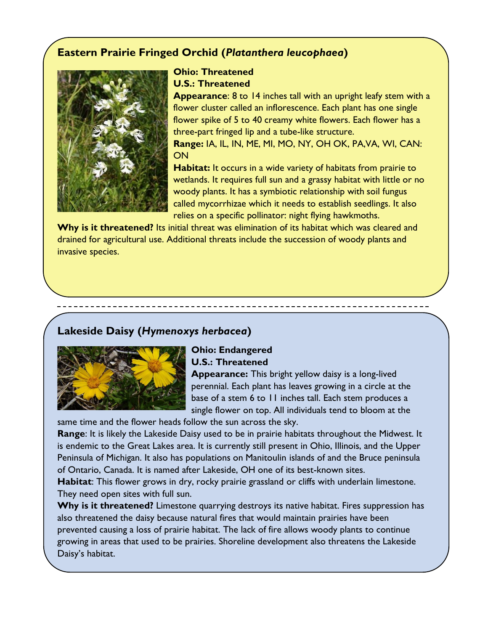# **Eastern Prairie Fringed Orchid (***Platanthera leucophaea***)**



# **Ohio: Threatened U.S.: Threatened**

**Appearance**: 8 to 14 inches tall with an upright leafy stem with a flower cluster called an inflorescence. Each plant has one single flower spike of 5 to 40 creamy white flowers. Each flower has a three-part fringed lip and a tube-like structure.

**Range:** IA, IL, IN, ME, MI, MO, NY, OH OK, PA,VA, WI, CAN: **ON** 

**Habitat:** It occurs in a wide variety of habitats from prairie to wetlands. It requires full sun and a grassy habitat with little or no woody plants. It has a symbiotic relationship with soil fungus called mycorrhizae which it needs to establish seedlings. It also relies on a specific pollinator: night flying hawkmoths.

Why is it threatened? Its initial threat was elimination of its habitat which was cleared and drained for agricultural use. Additional threats include the succession of woody plants and invasive species.

# **Lakeside Daisy (***Hymenoxys herbacea***)**



### **Ohio: Endangered U.S.: Threatened**

**Appearance:** This bright yellow daisy is a long-lived perennial. Each plant has leaves growing in a circle at the base of a stem 6 to 11 inches tall. Each stem produces a single flower on top. All individuals tend to bloom at the

same time and the flower heads follow the sun across the sky.

**Range**: It is likely the Lakeside Daisy used to be in prairie habitats throughout the Midwest. It is endemic to the Great Lakes area. It is currently still present in Ohio, Illinois, and the Upper Peninsula of Michigan. It also has populations on Manitoulin islands of and the Bruce peninsula of Ontario, Canada. It is named after Lakeside, OH one of its best-known sites.

**Habitat**: This flower grows in dry, rocky prairie grassland or cliffs with underlain limestone. They need open sites with full sun.

Why is it threatened? Limestone quarrying destroys its native habitat. Fires suppression has also threatened the daisy because natural fires that would maintain prairies have been prevented causing a loss of prairie habitat. The lack of fire allows woody plants to continue growing in areas that used to be prairies. Shoreline development also threatens the Lakeside Daisy's habitat.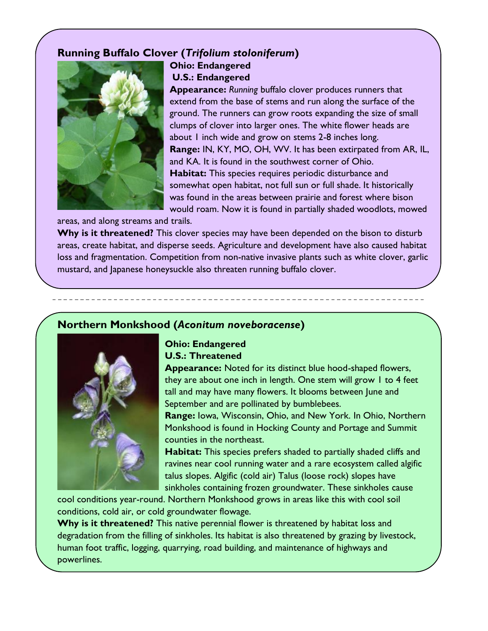## **Running Buffalo Clover (***Trifolium stoloniferum***)**



**Ohio: Endangered U.S.: Endangered**

**Appearance:** *Running* buffalo clover produces runners that extend from the base of stems and run along the surface of the ground. The runners can grow roots expanding the size of small clumps of clover into larger ones. The white flower heads are about 1 inch wide and grow on stems 2-8 inches long. **Range:** IN, KY, MO, OH, WV. It has been extirpated from AR, IL, and KA. It is found in the southwest corner of Ohio. **Habitat:** This species requires periodic disturbance and somewhat open habitat, not full sun or full shade. It historically was found in the areas between prairie and forest where bison would roam. Now it is found in partially shaded woodlots, mowed

areas, and along streams and trails.

Why is it threatened? This clover species may have been depended on the bison to disturb areas, create habitat, and disperse seeds. Agriculture and development have also caused habitat loss and fragmentation. Competition from non-native invasive plants such as white clover, garlic mustard, and Japanese honeysuckle also threaten running buffalo clover.

### **Northern Monkshood (***Aconitum noveboracense***)**



#### **Ohio: Endangered U.S.: Threatened**

**Appearance:** Noted for its distinct blue hood-shaped flowers, they are about one inch in length. One stem will grow 1 to 4 feet tall and may have many flowers. It blooms between June and September and are pollinated by bumblebees.

**Range:** Iowa, Wisconsin, Ohio, and New York. In Ohio, Northern Monkshood is found in Hocking County and Portage and Summit counties in the northeast.

**Habitat:** This species prefers shaded to partially shaded cliffs and ravines near cool running water and a rare ecosystem called algific talus slopes. Algific (cold air) Talus (loose rock) slopes have sinkholes containing frozen groundwater. These sinkholes cause

cool conditions year-round. Northern Monkshood grows in areas like this with cool soil conditions, cold air, or cold groundwater flowage.

**Why is it threatened?** This native perennial flower is threatened by habitat loss and degradation from the filling of sinkholes. Its habitat is also threatened by grazing by livestock, human foot traffic, logging, quarrying, road building, and maintenance of highways and powerlines.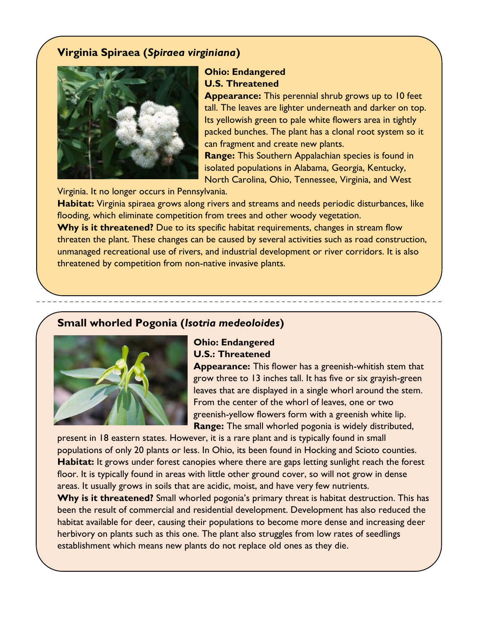### **Virginia Spiraea (***Spiraea virginiana***)**



## **Ohio: Endangered U.S. Threatened**

**Appearance:** This perennial shrub grows up to 10 feet tall. The leaves are lighter underneath and darker on top. Its yellowish green to pale white flowers area in tightly packed bunches. The plant has a clonal root system so it can fragment and create new plants.

**Range:** This Southern Appalachian species is found in isolated populations in Alabama, Georgia, Kentucky, North Carolina, Ohio, Tennessee, Virginia, and West

Virginia. It no longer occurs in Pennsylvania.

Habitat: Virginia spiraea grows along rivers and streams and needs periodic disturbances, like flooding, which eliminate competition from trees and other woody vegetation.

**Why is it threatened?** Due to its specific habitat requirements, changes in stream flow threaten the plant. These changes can be caused by several activities such as road construction, unmanaged recreational use of rivers, and industrial development or river corridors. It is also threatened by competition from non-native invasive plants.

### **Small whorled Pogonia (***Isotria medeoloides***)**



### **Ohio: Endangered U.S.: Threatened**

**Appearance:** This flower has a greenish-whitish stem that grow three to 13 inches tall. It has five or six grayish-green leaves that are displayed in a single whorl around the stem. From the center of the whorl of leaves, one or two greenish-yellow flowers form with a greenish white lip. **Range:** The small whorled pogonia is widely distributed,

present in 18 eastern states. However, it is a rare plant and is typically found in small populations of only 20 plants or less. In Ohio, its been found in Hocking and Scioto counties. Habitat: It grows under forest canopies where there are gaps letting sunlight reach the forest floor. It is typically found in areas with little other ground cover, so will not grow in dense areas. It usually grows in soils that are acidic, moist, and have very few nutrients.

Why is it threatened? Small whorled pogonia's primary threat is habitat destruction. This has been the result of commercial and residential development. Development has also reduced the habitat available for deer, causing their populations to become more dense and increasing deer herbivory on plants such as this one. The plant also struggles from low rates of seedlings establishment which means new plants do not replace old ones as they die.